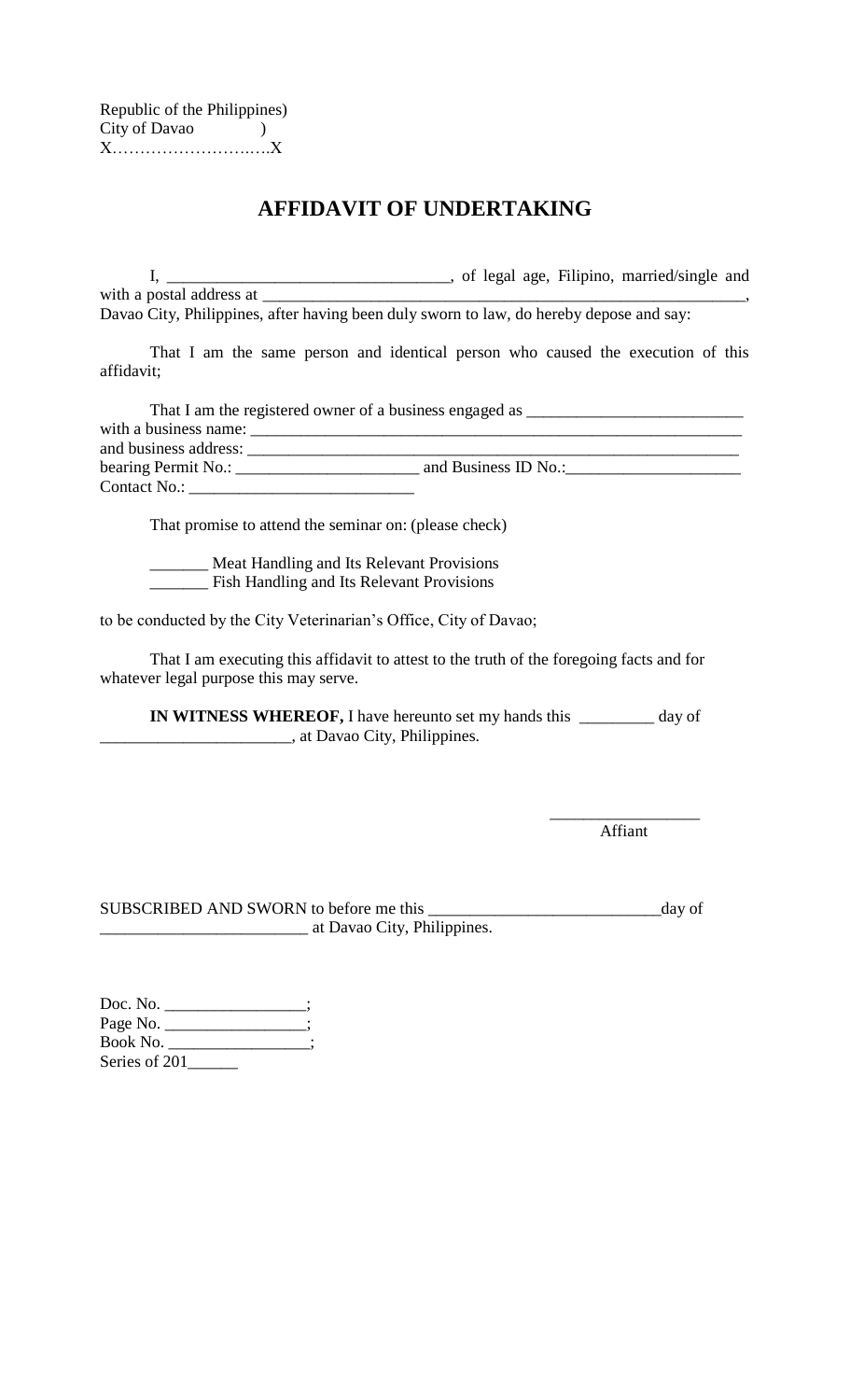| Republic of the Philippines) |  |
|------------------------------|--|
| City of Davao                |  |
|                              |  |

## **AFFIDAVIT OF UNDERTAKING**

I, \_\_\_\_\_\_\_\_\_\_\_\_\_\_\_\_\_\_\_\_\_\_\_\_\_\_\_\_\_\_\_\_\_\_, of legal age, Filipino, married/single and with a postal address at \_\_\_\_\_\_\_\_\_\_\_\_\_\_\_\_\_\_\_\_\_\_\_\_\_\_\_\_\_\_\_\_\_\_\_\_\_\_\_\_\_\_\_\_\_\_\_\_\_\_\_\_\_\_\_\_\_\_,

Davao City, Philippines, after having been duly sworn to law, do hereby depose and say:

That I am the same person and identical person who caused the execution of this affidavit;

|                       | That I am the registered owner of a business engaged as _ |  |
|-----------------------|-----------------------------------------------------------|--|
| with a business name: |                                                           |  |
| and business address: |                                                           |  |
| bearing Permit No.:   | and Business ID No.:                                      |  |
| Contact No.:          |                                                           |  |

That promise to attend the seminar on: (please check)

**Meat Handling and Its Relevant Provisions** \_\_\_\_\_\_\_ Fish Handling and Its Relevant Provisions

to be conducted by the City Veterinarian's Office, City of Davao;

That I am executing this affidavit to attest to the truth of the foregoing facts and for whatever legal purpose this may serve.

**IN WITNESS WHEREOF,** I have hereunto set my hands this \_\_\_\_\_\_\_\_\_ day of \_\_\_\_\_\_\_\_\_\_\_\_\_\_\_\_\_\_\_\_\_\_\_, at Davao City, Philippines.

> \_\_\_\_\_\_\_\_\_\_\_\_\_\_\_\_\_\_ Affiant

SUBSCRIBED AND SWORN to before me this \_\_\_\_\_\_\_\_\_\_\_\_\_\_\_\_\_\_\_\_\_\_\_\_\_\_\_\_day of \_\_\_\_\_\_\_\_\_\_\_\_\_\_\_\_\_\_\_\_\_\_\_\_\_ at Davao City, Philippines.

Doc. No. Page No. \_\_\_\_\_\_\_\_\_\_\_\_\_\_\_; Book No. \_\_\_\_\_\_\_\_\_\_\_\_\_\_\_; Series of 201\_\_\_\_\_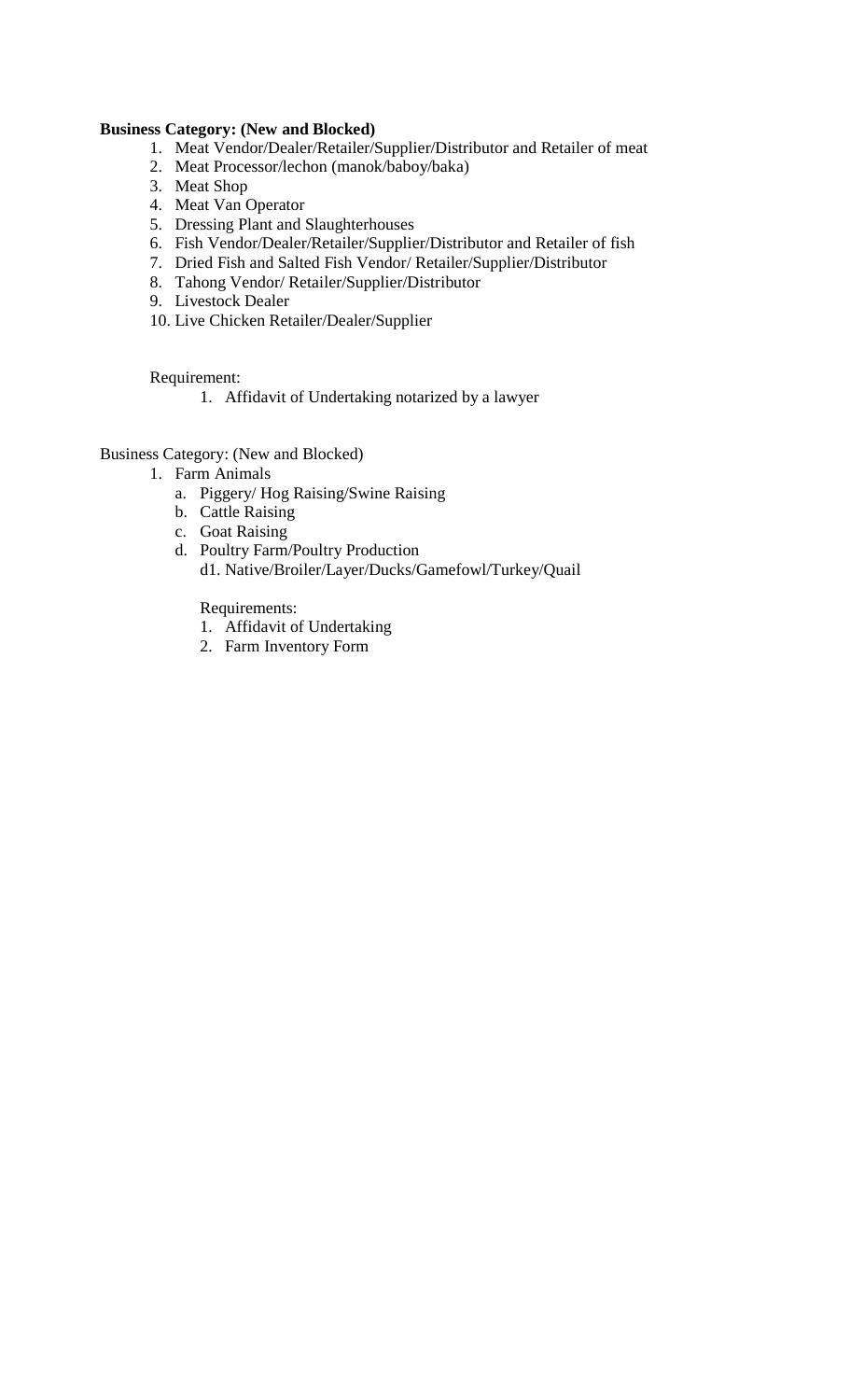## **Business Category: (New and Blocked)**

- 1. Meat Vendor/Dealer/Retailer/Supplier/Distributor and Retailer of meat
- 2. Meat Processor/lechon (manok/baboy/baka)
- 3. Meat Shop
- 4. Meat Van Operator
- 5. Dressing Plant and Slaughterhouses
- 6. Fish Vendor/Dealer/Retailer/Supplier/Distributor and Retailer of fish
- 7. Dried Fish and Salted Fish Vendor/ Retailer/Supplier/Distributor
- 8. Tahong Vendor/ Retailer/Supplier/Distributor
- 9. Livestock Dealer
- 10. Live Chicken Retailer/Dealer/Supplier

Requirement:

1. Affidavit of Undertaking notarized by a lawyer

Business Category: (New and Blocked)

- 1. Farm Animals
	- a. Piggery/ Hog Raising/Swine Raising
	- b. Cattle Raising
	- c. Goat Raising
	- d. Poultry Farm/Poultry Production d1. Native/Broiler/Layer/Ducks/Gamefowl/Turkey/Quail

Requirements:

- 1. Affidavit of Undertaking
- 2. Farm Inventory Form